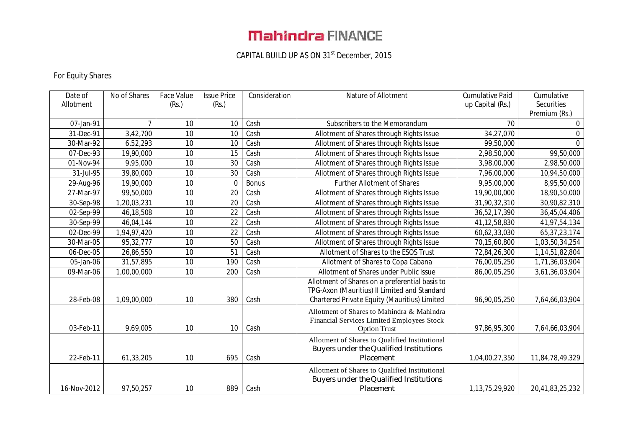# **Mahindra FINANCE**

### CAPITAL BUILD UP AS ON 31<sup>st</sup> December, 2015

### For Equity Shares

| Date of                 | No of Shares | Face Value | <b>Issue Price</b> | Consideration | Nature of Allotment                            | <b>Cumulative Paid</b> | Cumulative      |
|-------------------------|--------------|------------|--------------------|---------------|------------------------------------------------|------------------------|-----------------|
| Allotment               |              | (Rs.)      | (Rs.)              |               |                                                | up Capital (Rs.)       | Securities      |
|                         |              |            |                    |               |                                                |                        | Premium (Rs.)   |
| 07-Jan-91               | 7            | 10         | 10 <sup>°</sup>    | Cash          | Subscribers to the Memorandum                  | 70                     | 0               |
| 31-Dec-91               | 3,42,700     | 10         | 10                 | Cash          | Allotment of Shares through Rights Issue       | 34,27,070              | 0               |
| 30-Mar-92               | 6,52,293     | 10         | 10                 | Cash          | Allotment of Shares through Rights Issue       | 99,50,000              | $\Omega$        |
| $\overline{07}$ -Dec-93 | 19,90,000    | 10         | 15                 | Cash          | Allotment of Shares through Rights Issue       | 2,98,50,000            | 99,50,000       |
| 01-Nov-94               | 9,95,000     | 10         | 30                 | Cash          | Allotment of Shares through Rights Issue       | 3,98,00,000            | 2,98,50,000     |
| 31-Jul-95               | 39,80,000    | 10         | 30                 | Cash          | Allotment of Shares through Rights Issue       | 7,96,00,000            | 10,94,50,000    |
| 29-Aug-96               | 19,90,000    | 10         | $\mathbf 0$        | <b>Bonus</b>  | <b>Further Allotment of Shares</b>             | 9,95,00,000            | 8,95,50,000     |
| 27-Mar-97               | 99,50,000    | 10         | 20                 | Cash          | Allotment of Shares through Rights Issue       | 19,90,00,000           | 18,90,50,000    |
| 30-Sep-98               | 1,20,03,231  | 10         | 20                 | Cash          | Allotment of Shares through Rights Issue       | 31,90,32,310           | 30,90,82,310    |
| 02-Sep-99               | 46,18,508    | 10         | 22                 | Cash          | Allotment of Shares through Rights Issue       | 36,52,17,390           | 36,45,04,406    |
| 30-Sep-99               | 46,04,144    | 10         | $\overline{22}$    | Cash          | Allotment of Shares through Rights Issue       | 41, 12, 58, 830        | 41,97,54,134    |
| 02-Dec-99               | 1,94,97,420  | 10         | 22                 | Cash          | Allotment of Shares through Rights Issue       | 60,62,33,030           | 65, 37, 23, 174 |
| 30-Mar-05               | 95,32,777    | 10         | 50                 | Cash          | Allotment of Shares through Rights Issue       | 70,15,60,800           | 1,03,50,34,254  |
| 06-Dec-05               | 26,86,550    | 10         | 51                 | Cash          | Allotment of Shares to the ESOS Trust          | 72,84,26,300           | 1,14,51,82,804  |
| 05-Jan-06               | 31,57,895    | 10         | 190                | Cash          | Allotment of Shares to Copa Cabana             | 76,00,05,250           | 1,71,36,03,904  |
| 09-Mar-06               | 1,00,00,000  | 10         | 200                | Cash          | Allotment of Shares under Public Issue         | 86,00,05,250           | 3,61,36,03,904  |
|                         |              |            |                    |               | Allotment of Shares on a preferential basis to |                        |                 |
|                         |              |            |                    |               | TPG-Axon (Mauritius) II Limited and Standard   |                        |                 |
| 28-Feb-08               | 1,09,00,000  | 10         | 380                | Cash          | Chartered Private Equity (Mauritius) Limited   | 96,90,05,250           | 7,64,66,03,904  |
|                         |              |            |                    |               | Allotment of Shares to Mahindra & Mahindra     |                        |                 |
|                         |              |            |                    |               | Financial Services Limited Employees Stock     |                        |                 |
| 03-Feb-11               | 9,69,005     | 10         | 10                 | Cash          | <b>Option Trust</b>                            | 97,86,95,300           | 7,64,66,03,904  |
|                         |              |            |                    |               | Allotment of Shares to Qualified Institutional |                        |                 |
|                         |              |            |                    |               | Buyers under the Qualified Institutions        |                        |                 |
| 22-Feb-11               | 61,33,205    | 10         | 695                | Cash          | Placement                                      | 1,04,00,27,350         | 11,84,78,49,329 |
|                         |              |            |                    |               | Allotment of Shares to Qualified Institutional |                        |                 |
|                         |              |            |                    |               | Buyers under the Qualified Institutions        |                        |                 |
| 16-Nov-2012             | 97,50,257    | 10         | 889                | Cash          | Placement                                      | 1, 13, 75, 29, 920     | 20,41,83,25,232 |